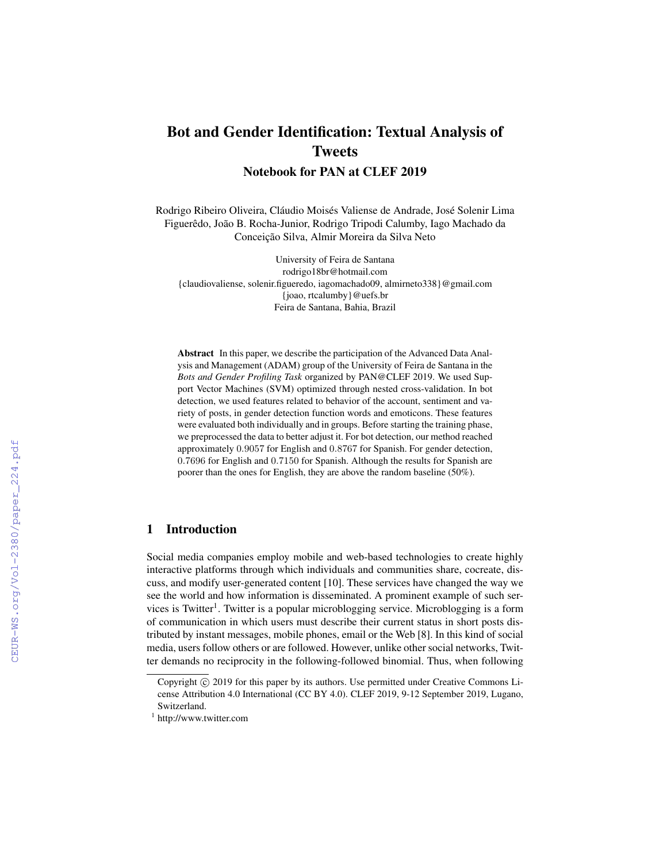# Bot and Gender Identification: Textual Analysis of Tweets

Notebook for PAN at CLEF 2019

Rodrigo Ribeiro Oliveira, Cláudio Moisés Valiense de Andrade, José Solenir Lima Figuerêdo, João B. Rocha-Junior, Rodrigo Tripodi Calumby, Iago Machado da Conceição Silva, Almir Moreira da Silva Neto

University of Feira de Santana rodrigo18br@hotmail.com {claudiovaliense, solenir.figueredo, iagomachado09, almirneto338}@gmail.com {joao, rtcalumby}@uefs.br Feira de Santana, Bahia, Brazil

Abstract In this paper, we describe the participation of the Advanced Data Analysis and Management (ADAM) group of the University of Feira de Santana in the *Bots and Gender Profiling Task* organized by PAN@CLEF 2019. We used Support Vector Machines (SVM) optimized through nested cross-validation. In bot detection, we used features related to behavior of the account, sentiment and variety of posts, in gender detection function words and emoticons. These features were evaluated both individually and in groups. Before starting the training phase, we preprocessed the data to better adjust it. For bot detection, our method reached approximately 0.9057 for English and 0.8767 for Spanish. For gender detection, 0.7696 for English and 0.7150 for Spanish. Although the results for Spanish are poorer than the ones for English, they are above the random baseline (50%).

# 1 Introduction

Social media companies employ mobile and web-based technologies to create highly interactive platforms through which individuals and communities share, cocreate, discuss, and modify user-generated content [10]. These services have changed the way we see the world and how information is disseminated. A prominent example of such services is Twitter<sup>1</sup>. Twitter is a popular microblogging service. Microblogging is a form of communication in which users must describe their current status in short posts distributed by instant messages, mobile phones, email or the Web [8]. In this kind of social media, users follow others or are followed. However, unlike other social networks, Twitter demands no reciprocity in the following-followed binomial. Thus, when following

Copyright  $\odot$  2019 for this paper by its authors. Use permitted under Creative Commons License Attribution 4.0 International (CC BY 4.0). CLEF 2019, 9-12 September 2019, Lugano, Switzerland.

<sup>&</sup>lt;sup>1</sup> http://www.twitter.com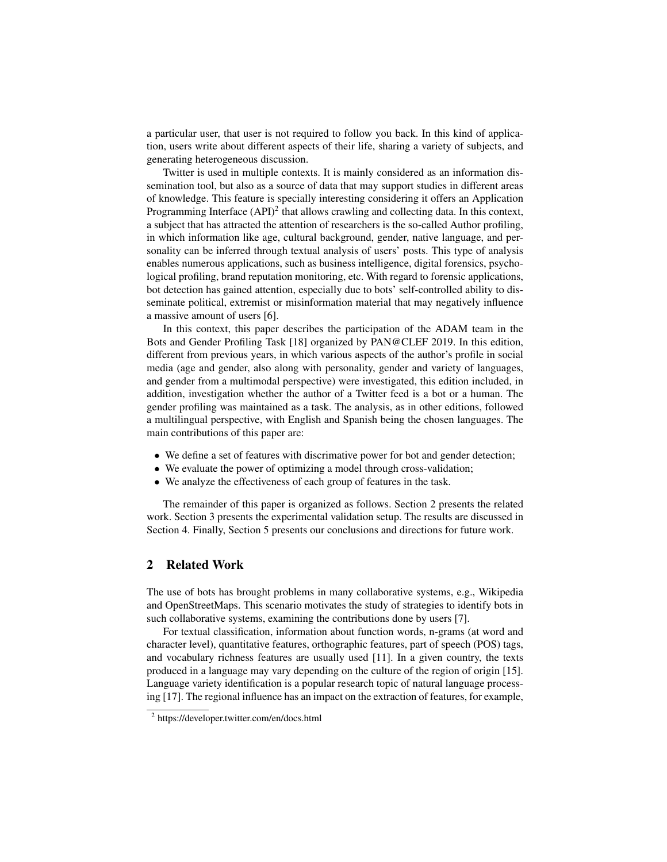a particular user, that user is not required to follow you back. In this kind of application, users write about different aspects of their life, sharing a variety of subjects, and generating heterogeneous discussion.

Twitter is used in multiple contexts. It is mainly considered as an information dissemination tool, but also as a source of data that may support studies in different areas of knowledge. This feature is specially interesting considering it offers an Application Programming Interface  $(API)^2$  that allows crawling and collecting data. In this context, a subject that has attracted the attention of researchers is the so-called Author profiling, in which information like age, cultural background, gender, native language, and personality can be inferred through textual analysis of users' posts. This type of analysis enables numerous applications, such as business intelligence, digital forensics, psychological profiling, brand reputation monitoring, etc. With regard to forensic applications, bot detection has gained attention, especially due to bots' self-controlled ability to disseminate political, extremist or misinformation material that may negatively influence a massive amount of users [6].

In this context, this paper describes the participation of the ADAM team in the Bots and Gender Profiling Task [18] organized by PAN@CLEF 2019. In this edition, different from previous years, in which various aspects of the author's profile in social media (age and gender, also along with personality, gender and variety of languages, and gender from a multimodal perspective) were investigated, this edition included, in addition, investigation whether the author of a Twitter feed is a bot or a human. The gender profiling was maintained as a task. The analysis, as in other editions, followed a multilingual perspective, with English and Spanish being the chosen languages. The main contributions of this paper are:

- We define a set of features with discrimative power for bot and gender detection;
- We evaluate the power of optimizing a model through cross-validation;
- We analyze the effectiveness of each group of features in the task.

The remainder of this paper is organized as follows. Section 2 presents the related work. Section 3 presents the experimental validation setup. The results are discussed in Section 4. Finally, Section 5 presents our conclusions and directions for future work.

# 2 Related Work

The use of bots has brought problems in many collaborative systems, e.g., Wikipedia and OpenStreetMaps. This scenario motivates the study of strategies to identify bots in such collaborative systems, examining the contributions done by users [7].

For textual classification, information about function words, n-grams (at word and character level), quantitative features, orthographic features, part of speech (POS) tags, and vocabulary richness features are usually used [11]. In a given country, the texts produced in a language may vary depending on the culture of the region of origin [15]. Language variety identification is a popular research topic of natural language processing [17]. The regional influence has an impact on the extraction of features, for example,

<sup>2</sup> https://developer.twitter.com/en/docs.html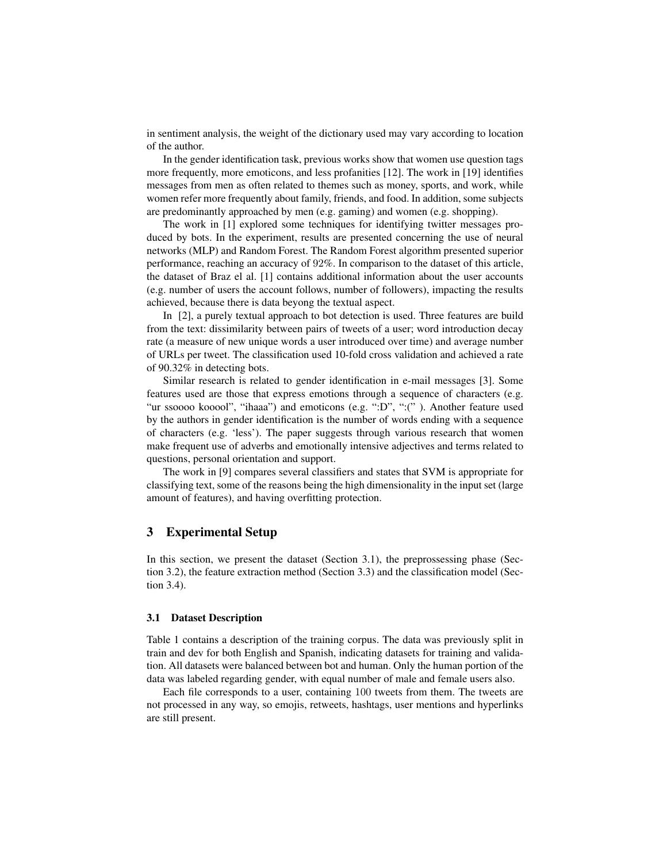in sentiment analysis, the weight of the dictionary used may vary according to location of the author.

In the gender identification task, previous works show that women use question tags more frequently, more emoticons, and less profanities [12]. The work in [19] identifies messages from men as often related to themes such as money, sports, and work, while women refer more frequently about family, friends, and food. In addition, some subjects are predominantly approached by men (e.g. gaming) and women (e.g. shopping).

The work in [1] explored some techniques for identifying twitter messages produced by bots. In the experiment, results are presented concerning the use of neural networks (MLP) and Random Forest. The Random Forest algorithm presented superior performance, reaching an accuracy of 92%. In comparison to the dataset of this article, the dataset of Braz el al. [1] contains additional information about the user accounts (e.g. number of users the account follows, number of followers), impacting the results achieved, because there is data beyong the textual aspect.

In [2], a purely textual approach to bot detection is used. Three features are build from the text: dissimilarity between pairs of tweets of a user; word introduction decay rate (a measure of new unique words a user introduced over time) and average number of URLs per tweet. The classification used 10-fold cross validation and achieved a rate of 90.32% in detecting bots.

Similar research is related to gender identification in e-mail messages [3]. Some features used are those that express emotions through a sequence of characters (e.g. "ur ssoooo kooool", "ihaaa") and emoticons (e.g. ":D", ":("). Another feature used by the authors in gender identification is the number of words ending with a sequence of characters (e.g. 'less'). The paper suggests through various research that women make frequent use of adverbs and emotionally intensive adjectives and terms related to questions, personal orientation and support.

The work in [9] compares several classifiers and states that SVM is appropriate for classifying text, some of the reasons being the high dimensionality in the input set (large amount of features), and having overfitting protection.

# 3 Experimental Setup

In this section, we present the dataset (Section 3.1), the preprossessing phase (Section 3.2), the feature extraction method (Section 3.3) and the classification model (Section 3.4).

#### 3.1 Dataset Description

Table 1 contains a description of the training corpus. The data was previously split in train and dev for both English and Spanish, indicating datasets for training and validation. All datasets were balanced between bot and human. Only the human portion of the data was labeled regarding gender, with equal number of male and female users also.

Each file corresponds to a user, containing 100 tweets from them. The tweets are not processed in any way, so emojis, retweets, hashtags, user mentions and hyperlinks are still present.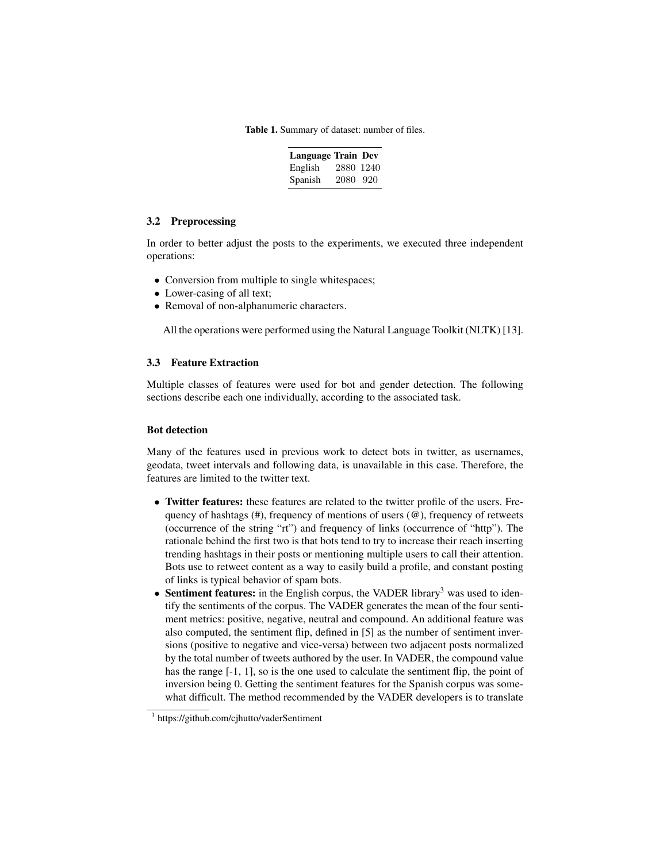Table 1. Summary of dataset: number of files.

| <b>Language Train Dev</b> |           |  |
|---------------------------|-----------|--|
| English                   | 2880 1240 |  |
| Spanish                   | 2080 920  |  |

## 3.2 Preprocessing

In order to better adjust the posts to the experiments, we executed three independent operations:

- Conversion from multiple to single whitespaces;
- Lower-casing of all text;
- Removal of non-alphanumeric characters.

All the operations were performed using the Natural Language Toolkit (NLTK) [13].

## 3.3 Feature Extraction

Multiple classes of features were used for bot and gender detection. The following sections describe each one individually, according to the associated task.

# Bot detection

Many of the features used in previous work to detect bots in twitter, as usernames, geodata, tweet intervals and following data, is unavailable in this case. Therefore, the features are limited to the twitter text.

- Twitter features: these features are related to the twitter profile of the users. Frequency of hashtags (#), frequency of mentions of users (@), frequency of retweets (occurrence of the string "rt") and frequency of links (occurrence of "http"). The rationale behind the first two is that bots tend to try to increase their reach inserting trending hashtags in their posts or mentioning multiple users to call their attention. Bots use to retweet content as a way to easily build a profile, and constant posting of links is typical behavior of spam bots.
- Sentiment features: in the English corpus, the VADER library<sup>3</sup> was used to identify the sentiments of the corpus. The VADER generates the mean of the four sentiment metrics: positive, negative, neutral and compound. An additional feature was also computed, the sentiment flip, defined in [5] as the number of sentiment inversions (positive to negative and vice-versa) between two adjacent posts normalized by the total number of tweets authored by the user. In VADER, the compound value has the range  $[-1, 1]$ , so is the one used to calculate the sentiment flip, the point of inversion being 0. Getting the sentiment features for the Spanish corpus was somewhat difficult. The method recommended by the VADER developers is to translate

<sup>&</sup>lt;sup>3</sup> https://github.com/cjhutto/vaderSentiment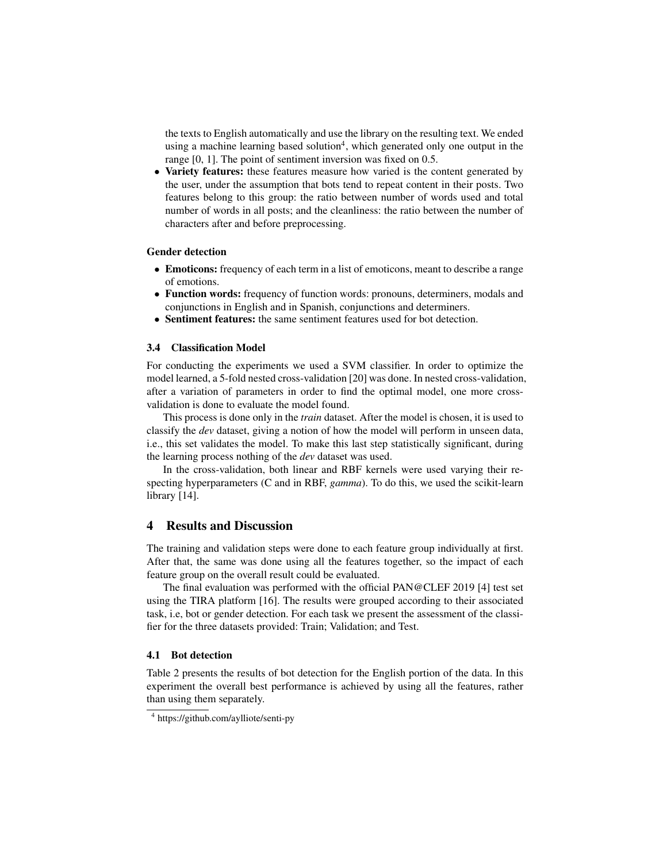the texts to English automatically and use the library on the resulting text. We ended using a machine learning based solution<sup>4</sup>, which generated only one output in the range [0, 1]. The point of sentiment inversion was fixed on 0.5.

• Variety features: these features measure how varied is the content generated by the user, under the assumption that bots tend to repeat content in their posts. Two features belong to this group: the ratio between number of words used and total number of words in all posts; and the cleanliness: the ratio between the number of characters after and before preprocessing.

#### Gender detection

- Emoticons: frequency of each term in a list of emoticons, meant to describe a range of emotions.
- Function words: frequency of function words: pronouns, determiners, modals and conjunctions in English and in Spanish, conjunctions and determiners.
- Sentiment features: the same sentiment features used for bot detection.

## 3.4 Classification Model

For conducting the experiments we used a SVM classifier. In order to optimize the model learned, a 5-fold nested cross-validation [20] was done. In nested cross-validation, after a variation of parameters in order to find the optimal model, one more crossvalidation is done to evaluate the model found.

This process is done only in the *train* dataset. After the model is chosen, it is used to classify the *dev* dataset, giving a notion of how the model will perform in unseen data, i.e., this set validates the model. To make this last step statistically significant, during the learning process nothing of the *dev* dataset was used.

In the cross-validation, both linear and RBF kernels were used varying their respecting hyperparameters (C and in RBF, *gamma*). To do this, we used the scikit-learn library [14].

# 4 Results and Discussion

The training and validation steps were done to each feature group individually at first. After that, the same was done using all the features together, so the impact of each feature group on the overall result could be evaluated.

The final evaluation was performed with the official PAN@CLEF 2019 [4] test set using the TIRA platform [16]. The results were grouped according to their associated task, i.e, bot or gender detection. For each task we present the assessment of the classifier for the three datasets provided: Train; Validation; and Test.

#### 4.1 Bot detection

Table 2 presents the results of bot detection for the English portion of the data. In this experiment the overall best performance is achieved by using all the features, rather than using them separately.

<sup>4</sup> https://github.com/aylliote/senti-py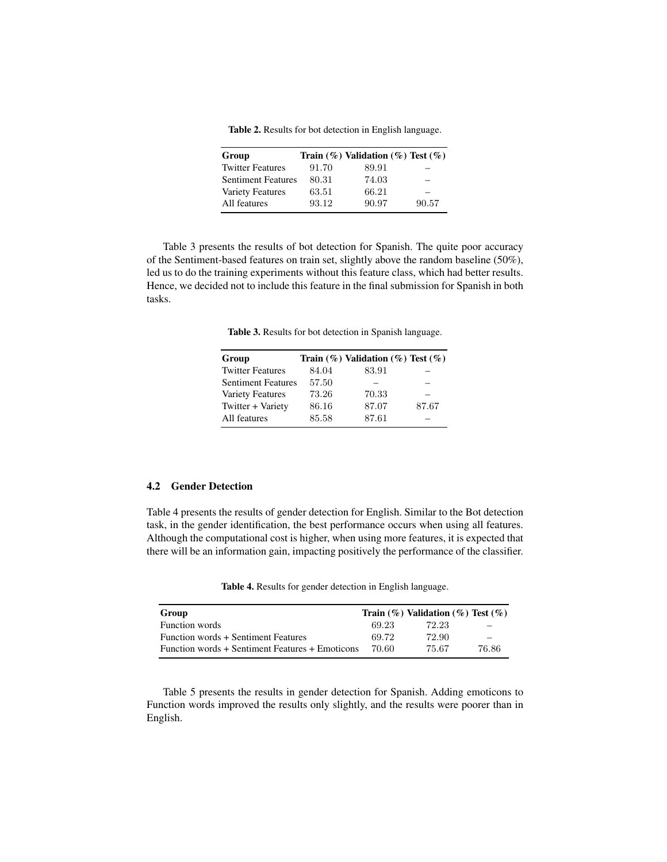Table 2. Results for bot detection in English language.

| Group                     |       | Train $(\%)$ Validation $(\%)$ Test $(\%)$ |       |
|---------------------------|-------|--------------------------------------------|-------|
| <b>Twitter Features</b>   | 91.70 | 89.91                                      |       |
| <b>Sentiment Features</b> | 80.31 | 74.03                                      |       |
| <b>Variety Features</b>   | 63.51 | 66.21                                      |       |
| All features              | 93.12 | 90.97                                      | 90.57 |

Table 3 presents the results of bot detection for Spanish. The quite poor accuracy of the Sentiment-based features on train set, slightly above the random baseline (50%), led us to do the training experiments without this feature class, which had better results. Hence, we decided not to include this feature in the final submission for Spanish in both tasks.

Table 3. Results for bot detection in Spanish language.

| Group                     |       | Train $(\%)$ Validation $(\%)$ Test $(\%)$ |       |
|---------------------------|-------|--------------------------------------------|-------|
| <b>Twitter Features</b>   | 84.04 | 83.91                                      |       |
| <b>Sentiment Features</b> | 57.50 |                                            |       |
| Variety Features          | 73.26 | 70.33                                      |       |
| Twitter + Variety         | 86.16 | 87.07                                      | 87.67 |
| All features              | 85.58 | 87.61                                      |       |

# 4.2 Gender Detection

Table 4 presents the results of gender detection for English. Similar to the Bot detection task, in the gender identification, the best performance occurs when using all features. Although the computational cost is higher, when using more features, it is expected that there will be an information gain, impacting positively the performance of the classifier.

Table 4. Results for gender detection in English language.

| Group                                           |       | Train $(\%)$ Validation $(\%)$ Test $(\%)$ |       |
|-------------------------------------------------|-------|--------------------------------------------|-------|
| Function words                                  | 69.23 | 72.23                                      |       |
| Function words + Sentiment Features             | 69.72 | 72.90                                      |       |
| Function words + Sentiment Features + Emoticons | 70.60 | 75.67                                      | 76.86 |

Table 5 presents the results in gender detection for Spanish. Adding emoticons to Function words improved the results only slightly, and the results were poorer than in English.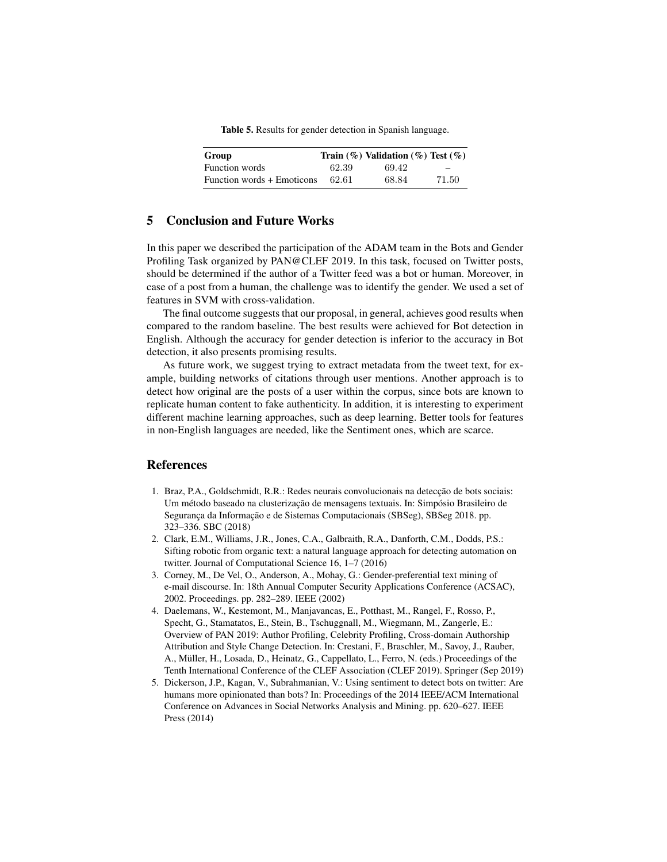Table 5. Results for gender detection in Spanish language.

| Group                      |       | Train $(\%)$ Validation $(\%)$ Test $(\%)$ |                          |
|----------------------------|-------|--------------------------------------------|--------------------------|
| <b>Function</b> words      | 62.39 | 69.42                                      | $\overline{\phantom{0}}$ |
| Function words + Emoticons | 62.61 | 68.84                                      | 71.50                    |

# 5 Conclusion and Future Works

In this paper we described the participation of the ADAM team in the Bots and Gender Profiling Task organized by PAN@CLEF 2019. In this task, focused on Twitter posts, should be determined if the author of a Twitter feed was a bot or human. Moreover, in case of a post from a human, the challenge was to identify the gender. We used a set of features in SVM with cross-validation.

The final outcome suggests that our proposal, in general, achieves good results when compared to the random baseline. The best results were achieved for Bot detection in English. Although the accuracy for gender detection is inferior to the accuracy in Bot detection, it also presents promising results.

As future work, we suggest trying to extract metadata from the tweet text, for example, building networks of citations through user mentions. Another approach is to detect how original are the posts of a user within the corpus, since bots are known to replicate human content to fake authenticity. In addition, it is interesting to experiment different machine learning approaches, such as deep learning. Better tools for features in non-English languages are needed, like the Sentiment ones, which are scarce.

# References

- 1. Braz, P.A., Goldschmidt, R.R.: Redes neurais convolucionais na detecção de bots sociais: Um método baseado na clusterização de mensagens textuais. In: Simpósio Brasileiro de Segurança da Informação e de Sistemas Computacionais (SBSeg), SBSeg 2018. pp. 323–336. SBC (2018)
- 2. Clark, E.M., Williams, J.R., Jones, C.A., Galbraith, R.A., Danforth, C.M., Dodds, P.S.: Sifting robotic from organic text: a natural language approach for detecting automation on twitter. Journal of Computational Science 16, 1–7 (2016)
- 3. Corney, M., De Vel, O., Anderson, A., Mohay, G.: Gender-preferential text mining of e-mail discourse. In: 18th Annual Computer Security Applications Conference (ACSAC), 2002. Proceedings. pp. 282–289. IEEE (2002)
- 4. Daelemans, W., Kestemont, M., Manjavancas, E., Potthast, M., Rangel, F., Rosso, P., Specht, G., Stamatatos, E., Stein, B., Tschuggnall, M., Wiegmann, M., Zangerle, E.: Overview of PAN 2019: Author Profiling, Celebrity Profiling, Cross-domain Authorship Attribution and Style Change Detection. In: Crestani, F., Braschler, M., Savoy, J., Rauber, A., Müller, H., Losada, D., Heinatz, G., Cappellato, L., Ferro, N. (eds.) Proceedings of the Tenth International Conference of the CLEF Association (CLEF 2019). Springer (Sep 2019)
- 5. Dickerson, J.P., Kagan, V., Subrahmanian, V.: Using sentiment to detect bots on twitter: Are humans more opinionated than bots? In: Proceedings of the 2014 IEEE/ACM International Conference on Advances in Social Networks Analysis and Mining. pp. 620–627. IEEE Press (2014)